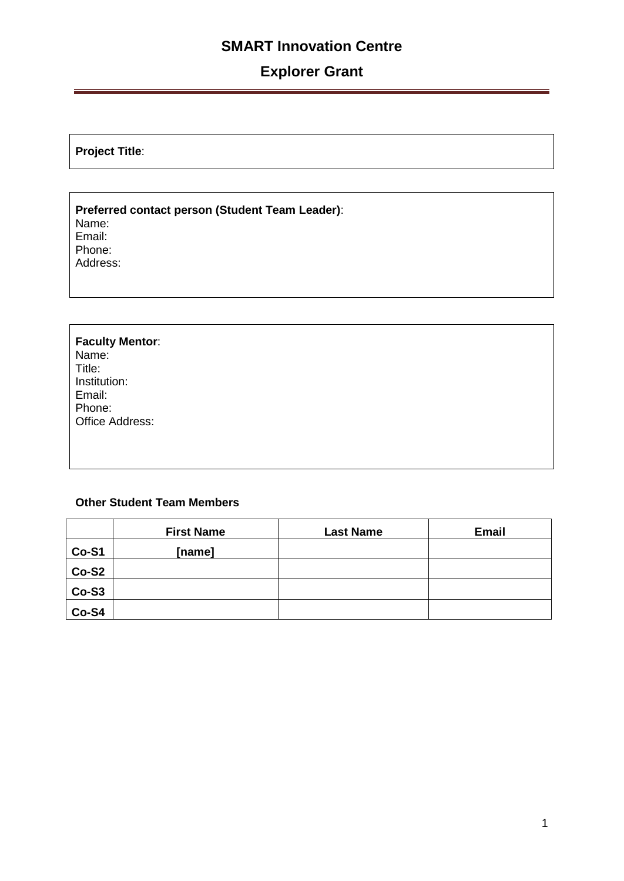## **SMART Innovation Centre**

# **Explorer Grant**

**Project Title**:

**Preferred contact person (Student Team Leader)**: Name: Email: Phone: Address:

#### **Faculty Mentor**: Name: Title: Institution: Email: Phone: Office Address:

#### **Other Student Team Members**

|         | <b>First Name</b> | <b>Last Name</b> | <b>Email</b> |
|---------|-------------------|------------------|--------------|
| Co-S1   | [name]            |                  |              |
| $Co-S2$ |                   |                  |              |
| $Co-S3$ |                   |                  |              |
| Co-S4   |                   |                  |              |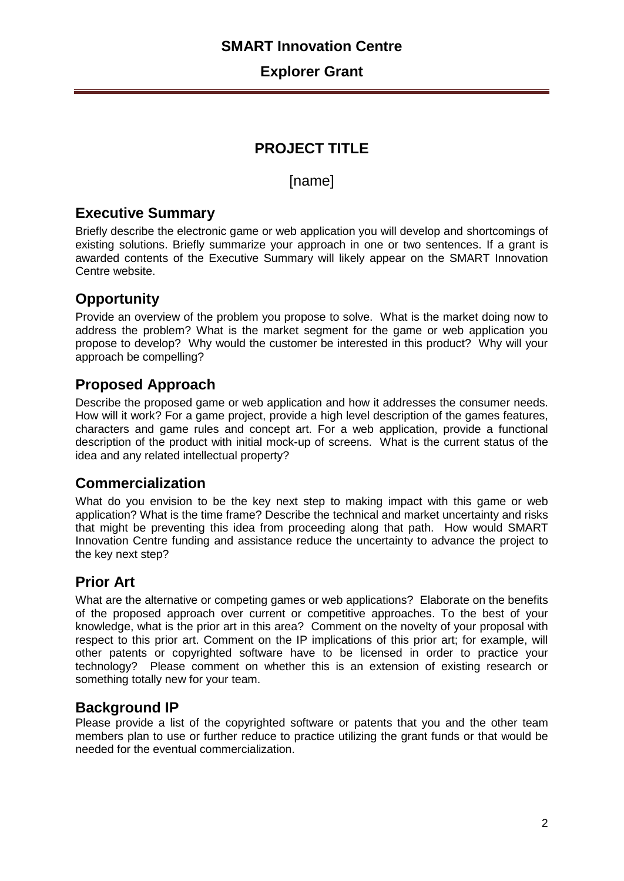## **SMART Innovation Centre**

#### **Explorer Grant**

## **PROJECT TITLE**

[name]

### **Executive Summary**

Briefly describe the electronic game or web application you will develop and shortcomings of existing solutions. Briefly summarize your approach in one or two sentences. If a grant is awarded contents of the Executive Summary will likely appear on the SMART Innovation Centre website.

## **Opportunity**

Provide an overview of the problem you propose to solve. What is the market doing now to address the problem? What is the market segment for the game or web application you propose to develop? Why would the customer be interested in this product? Why will your approach be compelling?

### **Proposed Approach**

Describe the proposed game or web application and how it addresses the consumer needs. How will it work? For a game project, provide a high level description of the games features, characters and game rules and concept art. For a web application, provide a functional description of the product with initial mock-up of screens. What is the current status of the idea and any related intellectual property?

### **Commercialization**

What do you envision to be the key next step to making impact with this game or web application? What is the time frame? Describe the technical and market uncertainty and risks that might be preventing this idea from proceeding along that path. How would SMART Innovation Centre funding and assistance reduce the uncertainty to advance the project to the key next step?

## **Prior Art**

What are the alternative or competing games or web applications? Elaborate on the benefits of the proposed approach over current or competitive approaches. To the best of your knowledge, what is the prior art in this area?Comment on the novelty of your proposal with respect to this prior art. Comment on the IP implications of this prior art; for example, will other patents or copyrighted software have to be licensed in order to practice your technology? Please comment on whether this is an extension of existing research or something totally new for your team.

### **Background IP**

Please provide a list of the copyrighted software or patents that you and the other team members plan to use or further reduce to practice utilizing the grant funds or that would be needed for the eventual commercialization.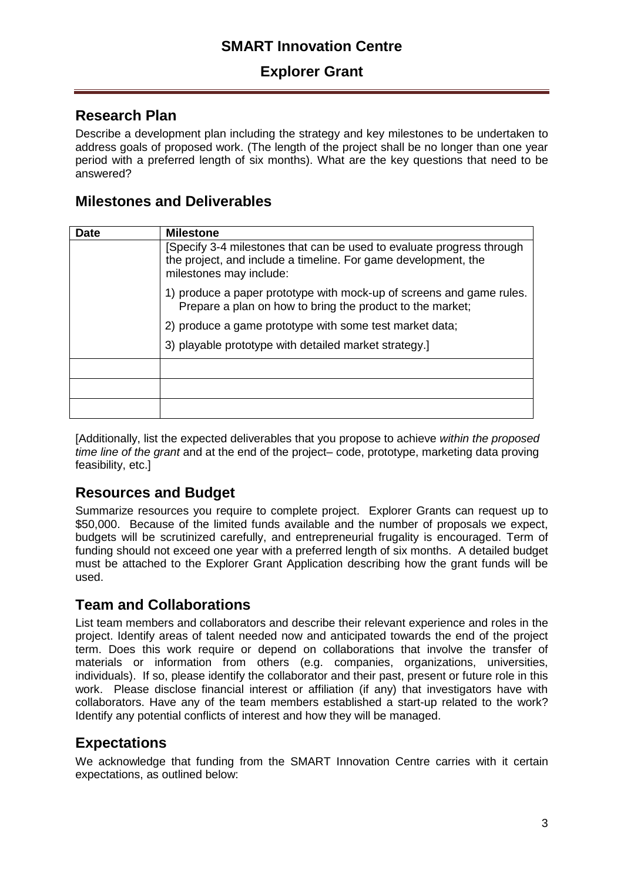## **SMART Innovation Centre**

### **Explorer Grant**

### **Research Plan**

Describe a development plan including the strategy and key milestones to be undertaken to address goals of proposed work. (The length of the project shall be no longer than one year period with a preferred length of six months). What are the key questions that need to be answered?

#### **Milestones and Deliverables**

| Date | <b>Milestone</b>                                                                                                                                                  |  |
|------|-------------------------------------------------------------------------------------------------------------------------------------------------------------------|--|
|      | Specify 3-4 milestones that can be used to evaluate progress through<br>the project, and include a timeline. For game development, the<br>milestones may include: |  |
|      | 1) produce a paper prototype with mock-up of screens and game rules.<br>Prepare a plan on how to bring the product to the market;                                 |  |
|      | 2) produce a game prototype with some test market data;                                                                                                           |  |
|      | 3) playable prototype with detailed market strategy.                                                                                                              |  |
|      |                                                                                                                                                                   |  |
|      |                                                                                                                                                                   |  |
|      |                                                                                                                                                                   |  |

[Additionally, list the expected deliverables that you propose to achieve *within the proposed time line of the grant* and at the end of the project– code, prototype, marketing data proving feasibility, etc.]

### **Resources and Budget**

Summarize resources you require to complete project. Explorer Grants can request up to \$50,000. Because of the limited funds available and the number of proposals we expect, budgets will be scrutinized carefully, and entrepreneurial frugality is encouraged. Term of funding should not exceed one year with a preferred length of six months. A detailed budget must be attached to the Explorer Grant Application describing how the grant funds will be used.

### **Team and Collaborations**

List team members and collaborators and describe their relevant experience and roles in the project. Identify areas of talent needed now and anticipated towards the end of the project term. Does this work require or depend on collaborations that involve the transfer of materials or information from others (e.g. companies, organizations, universities, individuals). If so, please identify the collaborator and their past, present or future role in this work. Please disclose financial interest or affiliation (if any) that investigators have with collaborators. Have any of the team members established a start-up related to the work? Identify any potential conflicts of interest and how they will be managed.

## **Expectations**

We acknowledge that funding from the SMART Innovation Centre carries with it certain expectations, as outlined below: